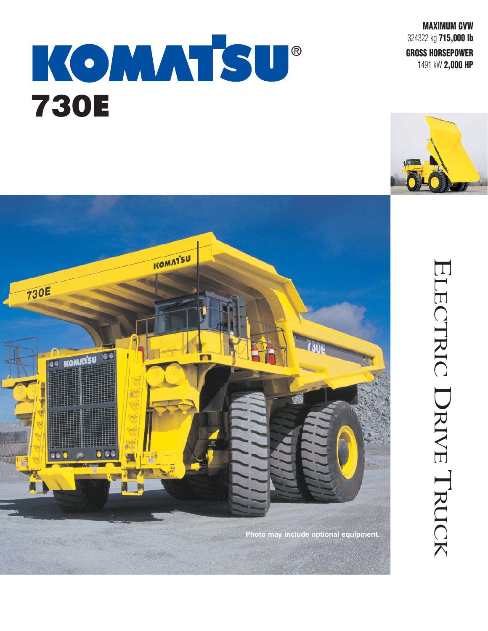**MAXIMUM GVW** 324322 kg **715,000 lb** 

**GROSS HORSEPOWER**

1491 kW **2,000 HP** 



ELECTRIC

ELECTRIC DRIVE TRUCK

TRUCK



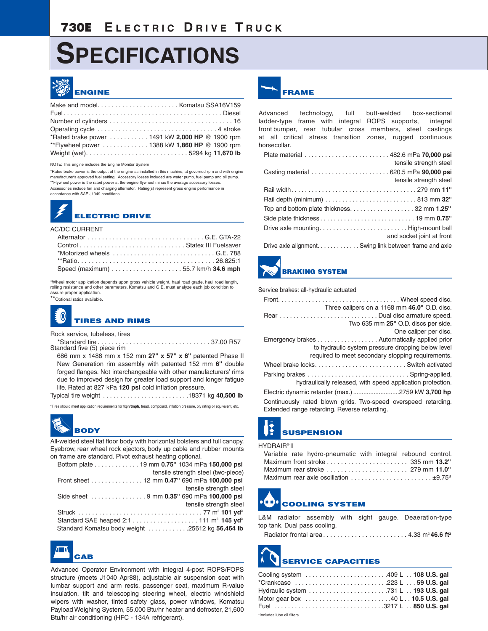# **SPECIFICATIONS**



| *Rated brake power  1491 kW 2,000 HP @ 1900 rpm |  |
|-------------------------------------------------|--|
| **Flywheel power  1388 kW 1,860 HP @ 1900 rpm   |  |
|                                                 |  |

NOTE: This engine includes the Engine Monitor System

\*Rated brake power is the output of the engine as installed in this machine, at governed rpm and with engine manufacturer's approved fuel setting. Accessory losses included are water pump, fuel pump and oil pump. \*\*Flywheel power is the rated power at the engine flywheel minus the average accessory losses. Accessories include fan and charging alternator. Rating(s) represent gross engine performance in accordance with SAE J1349 conditions.

## **ELECTRIC DRIVE**

#### AC/DC CURRENT

\*Wheel motor application depends upon gross vehicle weight, haul road grade, haul road length, rolling resistance and other parameters. Komatsu and G.E. must analyze each job condition to assure proper application.

\*\*Optional ratios available.



Rock service, tubeless, tires<br>\*Standard tire \*Standard tire . . . . . . . . . . . . . . . . . . . . . . . . . . . . . . . . 37.00 R57 Standard five (5) piece rim

686 mm x 1488 mm x 152 mm **27'' x 57'' x 6''** patented Phase II New Generation rim assembly with patented 152 mm **6''** double forged flanges. Not interchangeable with other manufacturers' rims due to improved design for greater load support and longer fatigue life. Rated at 827 kPa **120 psi** cold inflation pressure. Typical tire weight . . . . . . . . . . . . . . . . . . . . . . . . .18371 kg **40,500 lb**

\*Tires should meet application requirements for tkph/**tmph**, tread, compound, inflation pressure, ply rating or equivalent, etc.

# **BODY**

All-welded steel flat floor body with horizontal bolsters and full canopy. Eyebrow, rear wheel rock ejectors, body up cable and rubber mounts on frame are standard. Pivot exhaust heating optional.

| Bottom plate 19 mm 0.75" 1034 mPa 150,000 psi   |
|-------------------------------------------------|
| tensile strength steel (two-piece)              |
| Front sheet 12 mm 0.47" 690 mPa 100,000 psi     |
| tensile strength steel                          |
|                                                 |
| tensile strength steel                          |
|                                                 |
|                                                 |
| Standard Komatsu body weight 25612 kg 56,464 lb |
|                                                 |



Advanced Operator Environment with integral 4-post ROPS/FOPS structure (meets J1040 Apr88), adjustable air suspension seat with lumbar support and arm rests, passenger seat, maximum R-value insulation, tilt and telescoping steering wheel, electric windshield wipers with washer, tinted safety glass, power windows, Komatsu Payload Weighing System, 55,000 Btu/hr heater and defroster, 21,600 Btu/hr air conditioning (HFC - 134A refrigerant).



Advanced technology, full butt-welded box-sectional ladder-type frame with integral ROPS supports, integral front bumper, rear tubular cross members, steel castings at all critical stress transition zones, rugged continuous horsecollar.

| Plate material  482.6 mPa 70,000 psi                   | tensile strength steel    |
|--------------------------------------------------------|---------------------------|
|                                                        | tensile strength steel    |
|                                                        |                           |
|                                                        |                           |
|                                                        |                           |
|                                                        |                           |
| Drive axle mountingHigh-mount ball                     | and socket joint at front |
| Drive axle alignment Swing link between frame and axle |                           |

Drive axle alignment. . . . . . . . . . . . . Swing link between frame and axle



### **BRAKING SYSTEM**

#### Service brakes: all-hydraulic actuated

| Three calipers on a 1168 mm 46.0" O.D. disc.                   |
|----------------------------------------------------------------|
| Rear Dual disc armature speed.                                 |
| Two 635 mm 25" O.D. discs per side.                            |
| One caliper per disc.                                          |
| Emergency brakes Automatically applied prior                   |
| to hydraulic system pressure dropping below level              |
| required to meet secondary stopping requirements.              |
|                                                                |
|                                                                |
| hydraulically released, with speed application protection.     |
|                                                                |
| Continuously rated blown grids. Two-speed overspeed retarding. |

Extended range retarding. Reverse retarding.

## **SUSPENSION**

#### HYDRAIR® II

|  | Variable rate hydro-pneumatic with integral rebound control.                                      |  |  |
|--|---------------------------------------------------------------------------------------------------|--|--|
|  | Maximum front stroke $\dots\dots\dots\dots\dots\dots$ 335 mm $13.2''$                             |  |  |
|  | Maximum rear stroke $\ldots \ldots \ldots \ldots \ldots \ldots$ 279 mm 11.0"                      |  |  |
|  | Maximum rear axle oscillation $\ldots \ldots \ldots \ldots \ldots \ldots \ldots \pm 9.75^{\circ}$ |  |  |

# **COOLING SYSTEM**

L&M radiator assembly with sight gauge. Deaeration-type top tank. Dual pass cooling.

Radiator frontal area. . . . . . . . . . . . . . . . . . . . . . . . 4.33 m2 **46.6 ft2**

# **SERVICE CAPACITIES**

| Cooling system 409 L  108 U.S. gal |  |
|------------------------------------|--|
| *Crankcase 223 L  59 U.S. gal      |  |
|                                    |  |
| Motor gear box 40 L 10.5 U.S. gal  |  |
| Fuel 3217 L  850 U.S. gal          |  |
| *Includes lube oil filters         |  |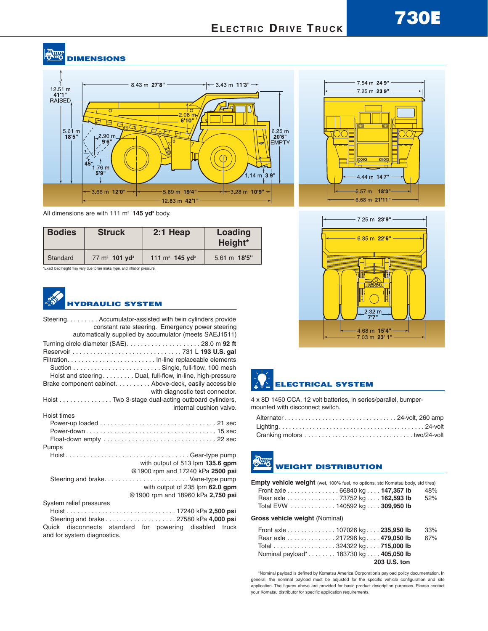### **RHIS DIMENSIONS**



All dimensions are with 111 m<sup>3</sup> 145 yd<sup>3</sup> body.

| <b>Bodies</b> | <b>Struck</b>                        | $2:1$ Heap                    | Loading<br>Height*     |  |
|---------------|--------------------------------------|-------------------------------|------------------------|--|
| Standard      | $77 \text{ m}^3$ 101 yd <sup>3</sup> | 111 $m^3$ 145 yd <sup>3</sup> | $5.61 \text{ m}$ 18'5" |  |

\*Exact load height may vary due to tire make, type, and inflation pressure.

### **HYDRAULIC SYSTEM**

| Steering Accumulator-assisted with twin cylinders provide<br>constant rate steering. Emergency power steering<br>automatically supplied by accumulator (meets SAEJ1511) |
|-------------------------------------------------------------------------------------------------------------------------------------------------------------------------|
|                                                                                                                                                                         |
| Hoist and steering Dual, full-flow, in-line, high-pressure                                                                                                              |
| Brake component cabinet. Above-deck, easily accessible<br>with diagnostic test connector.                                                                               |
| Hoist Two 3-stage dual-acting outboard cylinders,<br>internal cushion valve.                                                                                            |
| Hoist times                                                                                                                                                             |
|                                                                                                                                                                         |
| Pumps                                                                                                                                                                   |
| HoistGear-type pump                                                                                                                                                     |
| with output of 513 lpm 135.6 gpm                                                                                                                                        |
| @1900 rpm and 17240 kPa 2500 psi                                                                                                                                        |
| Steering and brakeVane-type pump<br>with output of 235 lpm 62.0 gpm                                                                                                     |
| @1900 rpm and 18960 kPa 2,750 psi                                                                                                                                       |
| System relief pressures                                                                                                                                                 |
|                                                                                                                                                                         |
|                                                                                                                                                                         |
| Quick disconnects standard for powering disabled truck<br>and for system diagnostics.                                                                                   |





## **ELECTRICAL SYSTEM**

4 x 8D 1450 CCA, 12 volt batteries, in series/parallel, bumpermounted with disconnect switch.

## **WEIGHT DISTRIBUTION**

| <b>Empty vehicle weight</b> (wet, 100% fuel, no options, std Komatsu body, std tires) |     |
|---------------------------------------------------------------------------------------|-----|
| Front axle 66840 kg 147,357 lb                                                        | 48% |
| Rear axle 73752 kg 162,593 lb                                                         | 52% |
| Total EVW 140592 kg 309,950 lb                                                        |     |

**Gross vehicle weight** (Nominal)

| Front axle 107026 kg. 235,950 lb      | 33% |
|---------------------------------------|-----|
| Rear axle 217296 kg. 479,050 lb       | 67% |
| Total 324322 kg 715,000 lb            |     |
| Nominal payload* 183730 kg 405,050 lb |     |
| 203 U.S. ton                          |     |

\*Nominal payload is defined by Komatsu America Corporation's payload policy documentation. In general, the nominal payload must be adjusted for the specific vehicle configuration and site application. The figures above are provided for basic product description purposes. Please contact your Komatsu distributor for specific application requirements.